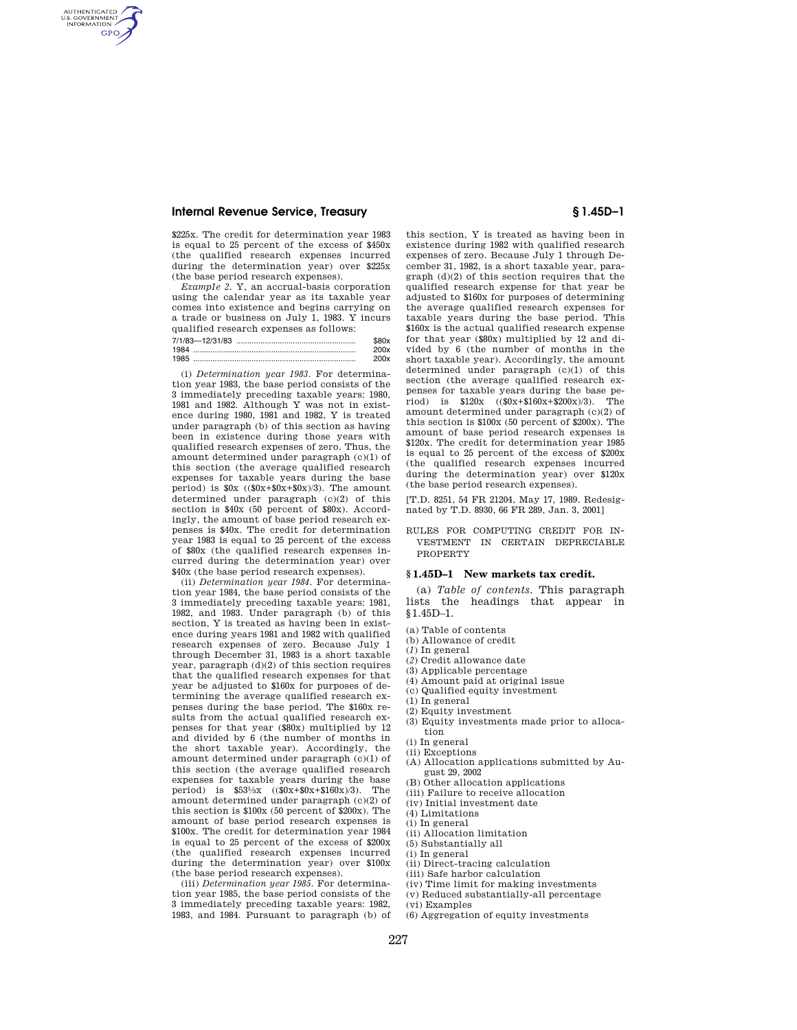AUTHENTICATED<br>U.S. GOVERNMENT<br>INFORMATION **GPO** 

> \$225x. The credit for determination year 1983 is equal to 25 percent of the excess of \$450x (the qualified research expenses incurred during the determination year) over \$225x (the base period research expenses).

> *Examp1e 2.* Y, an accrual-basis corporation using the calendar year as its taxable year comes into existence and begins carrying on a trade or business on July 1, 1983. Y incurs qualified research expenses as follows:

| 7/1/83-12/31/83 |  |
|-----------------|--|
| 1984            |  |
| 1985            |  |

(i) *Determination year 1983.* For determination year 1983, the base period consists of the 3 immediately preceding taxable years: 1980, 1981 and 1982. Although Y was not in existence during 1980, 1981 and 1982, Y is treated under paragraph (b) of this section as having been in existence during those years with qualified research expenses of zero. Thus, the amount determined under paragraph  $(c)(1)$  of this section (the average qualified research expenses for taxable years during the base period) is  $$0x$  ( $$0x+$0x+$0x/3$ ). The amount determined under paragraph (c)(2) of this section is  $$40x$  (50 percent of  $$80x$ ). Accordingly, the amount of base period research expenses is \$40x. The credit for determination year 1983 is equal to 25 percent of the excess of \$80x (the qualified research expenses incurred during the determination year) over \$40x (the base period research expenses).

(ii) *Determination year 1984.* For determination year 1984, the base period consists of the 3 immediately preceding taxable years: 1981, 1982, and 1983. Under paragraph (b) of this section, Y is treated as having been in existence during years 1981 and 1982 with qualified research expenses of zero. Because July 1 through December 31, 1983 is a short taxable year, paragraph (d)(2) of this section requires that the qualified research expenses for that year be adjusted to \$160x for purposes of determining the average qualified research expenses during the base period. The \$160x results from the actual qualified research expenses for that year (\$80x) multiplied by 12 and divided by 6 (the number of months in the short taxable year). Accordingly, the amount determined under paragraph (c)(1) of this section (the average qualified research expenses for taxable years during the base<br>period) is  $$53\frac{1}{2}x$  ( $$0x+$0x+$160x$ )/3). The period) is  $$53\frac{1}{3}x$  ( $$0x+$0x+$160x/3$ ). amount determined under paragraph (c)(2) of this section is \$100x (50 percent of \$200x). The amount of base period research expenses is \$100x. The credit for determination year 1984 is equal to 25 percent of the excess of \$200x (the qualified research expenses incurred during the determination year) over \$100x (the base period research expenses).

(iii) *Determination year 1985.* For determination year 1985, the base period consists of the 3 immediately preceding taxable years: 1982, 1983, and 1984. Pursuant to paragraph (b) of

this section, Y is treated as having been in existence during 1982 with qualified research expenses of zero. Because July 1 through December 31, 1982, is a short taxable year, paragraph (d)(2) of this section requires that the qualified research expense for that year be adjusted to \$160x for purposes of determining the average qualified research expenses for taxable years during the base period. This \$160x is the actual qualified research expense for that year (\$80x) multiplied by 12 and divided by 6 (the number of months in the short taxable year). Accordingly, the amount determined under paragraph (c)(1) of this section (the average qualified research expenses for taxable years during the base period) is \$120x ((\$0x+\$160x+\$200x)/3). The amount determined under paragraph (c)(2) of this section is \$100x (50 percent of \$200x). The amount of base period research expenses is \$120x. The credit for determination year 1985 is equal to 25 percent of the excess of \$200x (the qualified research expenses incurred during the determination year) over \$120x (the base period research expenses).

[T.D. 8251, 54 FR 21204, May 17, 1989. Redesignated by T.D. 8930, 66 FR 289, Jan. 3, 2001]

RULES FOR COMPUTING CREDIT FOR IN-VESTMENT IN CERTAIN DEPRECIABLE PROPERTY

#### **§ 1.45D–1 New markets tax credit.**

(a) *Table of contents.* This paragraph lists the headings that appear in §1.45D–1.

- (a) Table of contents
- (b) Allowance of credit
- (*1*) In general
- (*2*) Credit allowance date
- (3) Applicable percentage
- (4) Amount paid at original issue
- (c) Qualified equity investment
- (1) In general
- (2) Equity investment
- (3) Equity investments made prior to allocation
- (i) In general
- (ii) Exceptions
- (A) Allocation applications submitted by August 29, 2002
- (B) Other allocation applications
- (iii) Failure to receive allocation
- (iv) Initial investment date
- (4) Limitations
- (i) In general
	- (ii) Allocation limitation
- (5) Substantially all
- (i) In general
- (ii) Direct-tracing calculation
- (iii) Safe harbor calculation
- (iv) Time limit for making investments
- (v) Reduced substantially-all percentage
	- (vi) Examples
	- (6) Aggregation of equity investments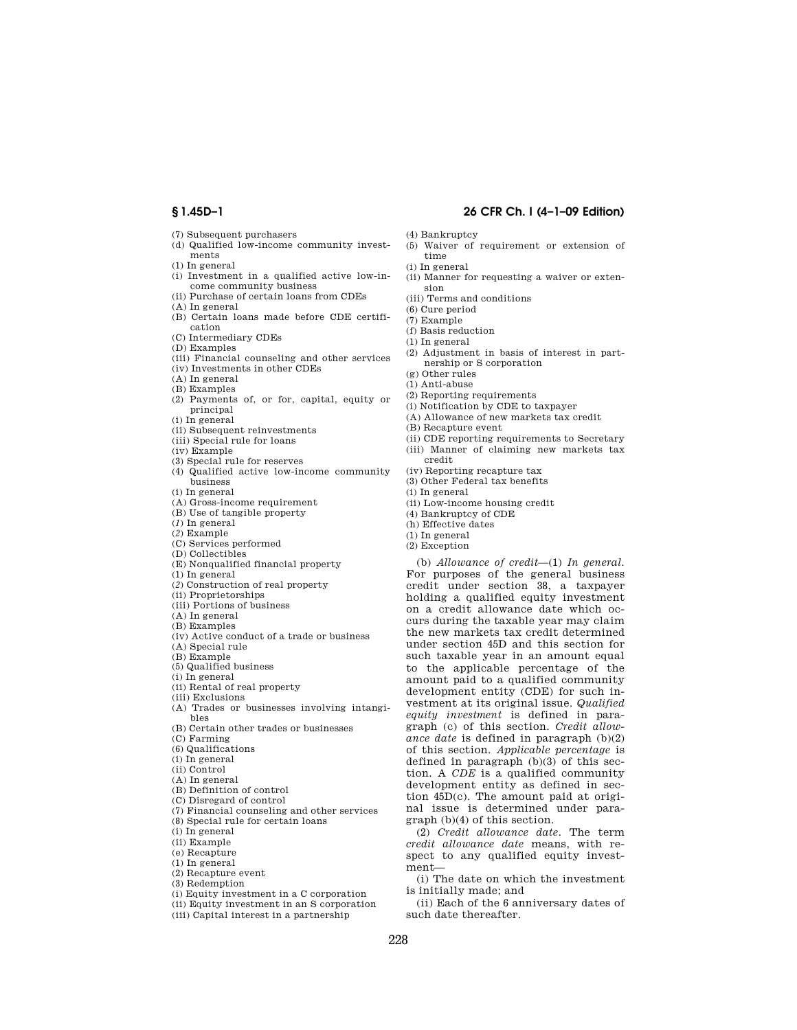- (7) Subsequent purchasers
- (d) Qualified low-income community investments
- (1) In general
- (i) Investment in a qualified active low-income community business
- (ii) Purchase of certain loans from CDEs
- (A) In general
- (B) Certain loans made before CDE certification
- (C) Intermediary CDEs
- (D) Examples
- (iii) Financial counseling and other services
- (iv) Investments in other CDEs
- (A) In general
- (B) Examples
- (2) Payments of, or for, capital, equity or principal
- $\left( \text{i}\right)$  In general
- (ii) Subsequent reinvestments
- (iii) Special rule for loans
- (iv) Example
- (3) Special rule for reserves
- (4) Qualified active low-income community business
- (i) In general
- (A) Gross-income requirement
- (B) Use of tangible property
- (*1*) In general
- (*2*) Example
- (C) Services performed (D) Collectibles
- 
- (E) Nonqualified financial property (1) In general
- (*2*) Construction of real property
- (ii) Proprietorships
- (iii) Portions of business
- (A) In general
- (B) Examples
- (iv) Active conduct of a trade or business
- (A) Special rule
- (B) Example
- (5) Qualified business
- (i) In general
- (ii) Rental of real property
- (iii) Exclusions
- (A) Trades or businesses involving intangibles
- (B) Certain other trades or businesses
- (C) Farming
- (6) Qualifications
- (i) In general
- (ii) Control
- (A) In general
- (B) Definition of control
- (C) Disregard of control
- (7) Financial counseling and other services
- (8) Special rule for certain loans
- (i) In general (ii) Example
- 
- (e) Recapture
- (1) In general
- (2) Recapture event
- (3) Redemption
- (i) Equity investment in a C corporation
- (ii) Equity investment in an S corporation
- (iii) Capital interest in a partnership

## **§ 1.45D–1 26 CFR Ch. I (4–1–09 Edition)**

- (4) Bankruptcy
- (5) Waiver of requirement or extension of time
- (i) In general
- (ii) Manner for requesting a waiver or extension
- (iii) Terms and conditions
- (6) Cure period
- (7) Example
- (f) Basis reduction
- (1) In general
- (2) Adjustment in basis of interest in partnership or S corporation
- (g) Other rules
- (1) Anti-abuse
- (2) Reporting requirements
- (i) Notification by CDE to taxpayer
- (A) Allowance of new markets tax credit
- (B) Recapture event
- 
- (ii) CDE reporting requirements to Secretary
- (iii) Manner of claiming new markets tax credit
- (iv) Reporting recapture tax
- (3) Other Federal tax benefits
- (i) In general
- (ii) Low-income housing credit
- (4) Bankruptcy of CDE
- (h) Effective dates
- (1) In general
- (2) Exception

(b) *Allowance of credit*—(1) *In general.*  For purposes of the general business credit under section 38, a taxpayer holding a qualified equity investment on a credit allowance date which occurs during the taxable year may claim the new markets tax credit determined under section 45D and this section for such taxable year in an amount equal to the applicable percentage of the amount paid to a qualified community development entity (CDE) for such investment at its original issue. *Qualified equity investment* is defined in paragraph (c) of this section. *Credit allowance date* is defined in paragraph (b)(2) of this section. *Applicable percentage* is defined in paragraph (b)(3) of this section. A *CDE* is a qualified community development entity as defined in section 45D(c). The amount paid at original issue is determined under paragraph (b)(4) of this section.

(2) *Credit allowance date.* The term *credit allowance date* means, with respect to any qualified equity investment—

(i) The date on which the investment is initially made; and

(ii) Each of the 6 anniversary dates of such date thereafter.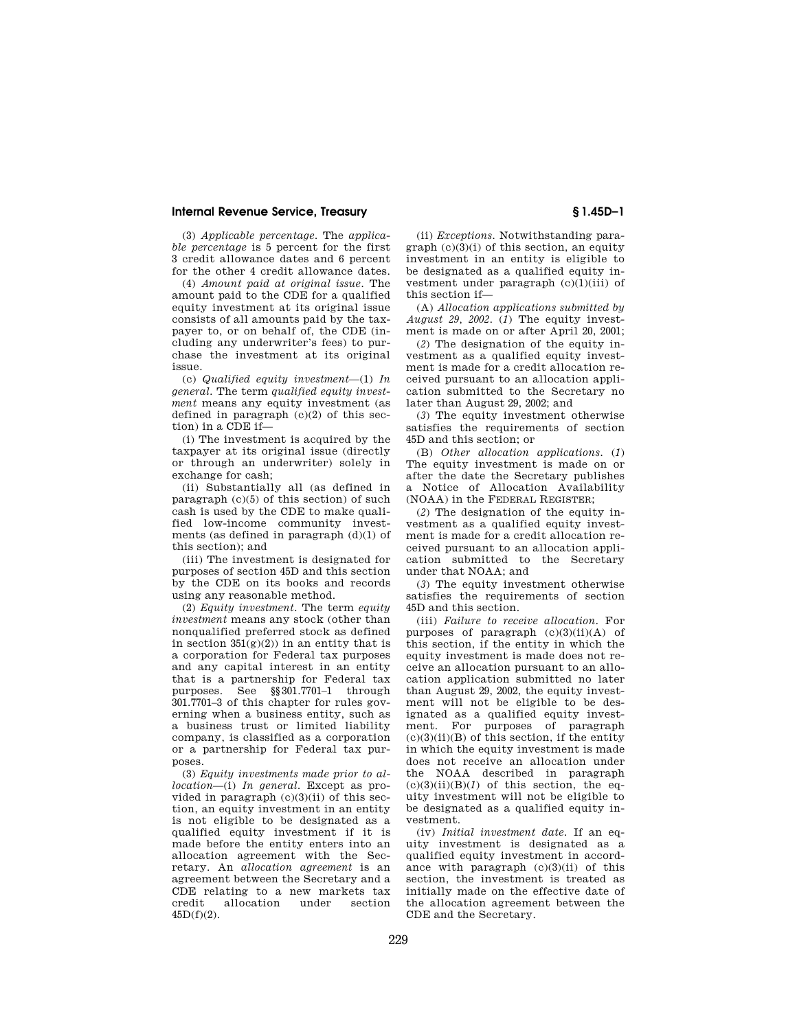(3) *Applicable percentage.* The *applicable percentage* is 5 percent for the first 3 credit allowance dates and 6 percent for the other 4 credit allowance dates.

(4) *Amount paid at original issue.* The amount paid to the CDE for a qualified equity investment at its original issue consists of all amounts paid by the taxpayer to, or on behalf of, the CDE (including any underwriter's fees) to purchase the investment at its original issue.

(c) *Qualified equity investment*—(1) *In general.* The term *qualified equity investment* means any equity investment (as defined in paragraph (c)(2) of this section) in a CDE if—

(i) The investment is acquired by the taxpayer at its original issue (directly or through an underwriter) solely in exchange for cash;

(ii) Substantially all (as defined in paragraph (c)(5) of this section) of such cash is used by the CDE to make qualified low-income community investments (as defined in paragraph  $(d)(1)$  of this section); and

(iii) The investment is designated for purposes of section 45D and this section by the CDE on its books and records using any reasonable method.

(2) *Equity investment.* The term *equity investment* means any stock (other than nonqualified preferred stock as defined in section  $351(g)(2)$  in an entity that is a corporation for Federal tax purposes and any capital interest in an entity that is a partnership for Federal tax purposes. See §§301.7701–1 through 301.7701–3 of this chapter for rules governing when a business entity, such as a business trust or limited liability company, is classified as a corporation or a partnership for Federal tax purposes.

(3) *Equity investments made prior to allocation*—(i) *In general.* Except as provided in paragraph (c)(3)(ii) of this section, an equity investment in an entity is not eligible to be designated as a qualified equity investment if it is made before the entity enters into an allocation agreement with the Secretary. An *allocation agreement* is an agreement between the Secretary and a CDE relating to a new markets tax<br>credit allocation under section allocation under section 45D(f)(2).

(ii) *Exceptions.* Notwithstanding paragraph  $(c)(3)(i)$  of this section, an equity investment in an entity is eligible to be designated as a qualified equity investment under paragraph (c)(1)(iii) of this section if—

(A) *Allocation applications submitted by August 29, 2002.* (*1*) The equity investment is made on or after April 20, 2001;

(*2*) The designation of the equity investment as a qualified equity investment is made for a credit allocation received pursuant to an allocation application submitted to the Secretary no later than August 29, 2002; and

(*3*) The equity investment otherwise satisfies the requirements of section 45D and this section; or

(B) *Other allocation applications.* (*1*) The equity investment is made on or after the date the Secretary publishes a Notice of Allocation Availability (NOAA) in the FEDERAL REGISTER;

(*2*) The designation of the equity investment as a qualified equity investment is made for a credit allocation received pursuant to an allocation application submitted to the Secretary under that NOAA; and

(*3*) The equity investment otherwise satisfies the requirements of section 45D and this section.

(iii) *Failure to receive allocation.* For purposes of paragraph  $(c)(3)(ii)(A)$  of this section, if the entity in which the equity investment is made does not receive an allocation pursuant to an allocation application submitted no later than August 29, 2002, the equity investment will not be eligible to be designated as a qualified equity investment. For purposes of paragraph  $(c)(3)(ii)(B)$  of this section, if the entity in which the equity investment is made does not receive an allocation under the NOAA described in paragraph  $(c)(3)(ii)(B)(1)$  of this section, the equity investment will not be eligible to be designated as a qualified equity investment.

(iv) *Initial investment date.* If an equity investment is designated as a qualified equity investment in accordance with paragraph  $(c)(3)(ii)$  of this section, the investment is treated as initially made on the effective date of the allocation agreement between the CDE and the Secretary.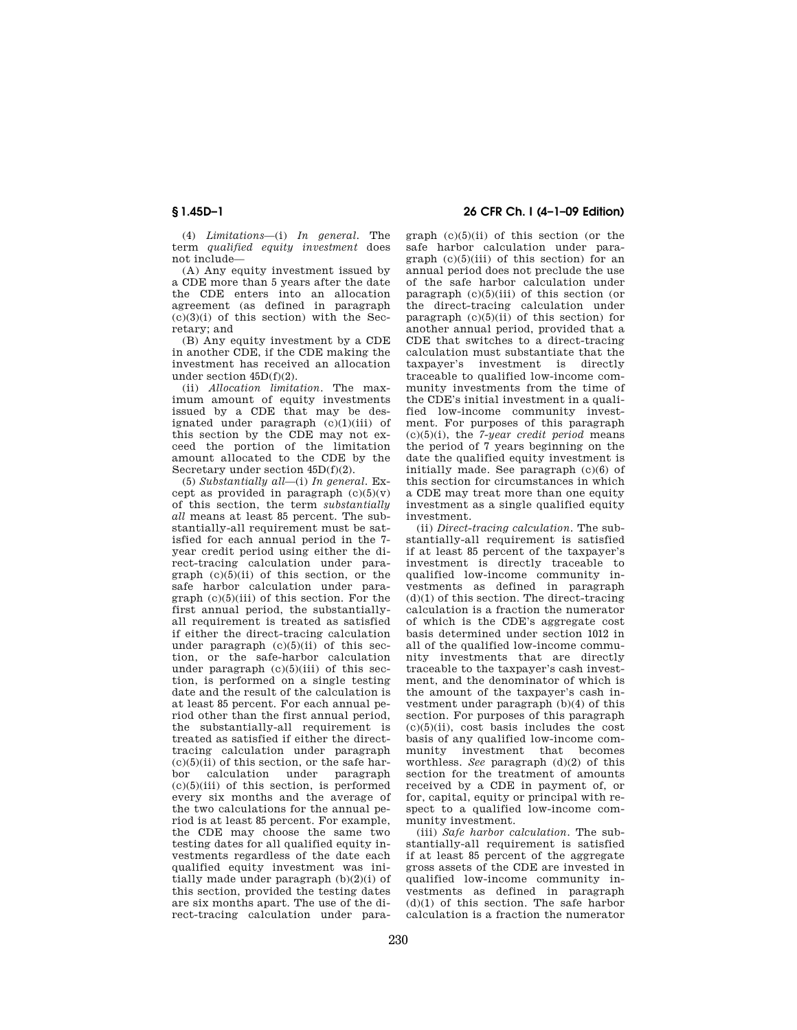(4) *Limitations*—(i) *In general.* The term *qualified equity investment* does not include—

(A) Any equity investment issued by a CDE more than 5 years after the date the CDE enters into an allocation agreement (as defined in paragraph  $(c)(3)(i)$  of this section) with the Secretary; and

(B) Any equity investment by a CDE in another CDE, if the CDE making the investment has received an allocation under section 45D(f)(2).

(ii) *Allocation limitation.* The maximum amount of equity investments issued by a CDE that may be designated under paragraph (c)(1)(iii) of this section by the CDE may not exceed the portion of the limitation amount allocated to the CDE by the Secretary under section 45D(f)(2).

(5) *Substantially all*—(i) *In general.* Except as provided in paragraph  $(c)(5)(v)$ of this section, the term *substantially all* means at least 85 percent. The substantially-all requirement must be satisfied for each annual period in the 7 year credit period using either the direct-tracing calculation under paragraph  $(c)(5)(ii)$  of this section, or the safe harbor calculation under paragraph (c)(5)(iii) of this section. For the first annual period, the substantiallyall requirement is treated as satisfied if either the direct-tracing calculation under paragraph  $(c)(5)(ii)$  of this section, or the safe-harbor calculation under paragraph  $(c)(5)(iii)$  of this section, is performed on a single testing date and the result of the calculation is at least 85 percent. For each annual period other than the first annual period, the substantially-all requirement is treated as satisfied if either the directtracing calculation under paragraph  $(c)(5)(ii)$  of this section, or the safe harbor calculation under paragraph  $(c)(5)(iii)$  of this section, is performed every six months and the average of the two calculations for the annual period is at least 85 percent. For example, the CDE may choose the same two testing dates for all qualified equity investments regardless of the date each qualified equity investment was initially made under paragraph (b)(2)(i) of this section, provided the testing dates are six months apart. The use of the direct-tracing calculation under para-

**§ 1.45D–1 26 CFR Ch. I (4–1–09 Edition)** 

graph (c)(5)(ii) of this section (or the safe harbor calculation under paragraph  $(c)(5)(iii)$  of this section) for an annual period does not preclude the use of the safe harbor calculation under paragraph  $(c)(5)(iii)$  of this section (or the direct-tracing calculation under paragraph  $(c)(5)(ii)$  of this section) for another annual period, provided that a CDE that switches to a direct-tracing calculation must substantiate that the taxpayer's investment is directly traceable to qualified low-income community investments from the time of the CDE's initial investment in a qualified low-income community investment. For purposes of this paragraph (c)(5)(i), the *7-year credit period* means the period of 7 years beginning on the date the qualified equity investment is initially made. See paragraph (c)(6) of this section for circumstances in which a CDE may treat more than one equity investment as a single qualified equity investment.

(ii) *Direct-tracing calculation.* The substantially-all requirement is satisfied if at least 85 percent of the taxpayer's investment is directly traceable to qualified low-income community investments as defined in paragraph (d)(1) of this section. The direct-tracing calculation is a fraction the numerator of which is the CDE's aggregate cost basis determined under section 1012 in all of the qualified low-income community investments that are directly traceable to the taxpayer's cash investment, and the denominator of which is the amount of the taxpayer's cash investment under paragraph (b)(4) of this section. For purposes of this paragraph  $(c)(5)(ii)$ , cost basis includes the cost basis of any qualified low-income community investment that becomes worthless. *See* paragraph (d)(2) of this section for the treatment of amounts received by a CDE in payment of, or for, capital, equity or principal with respect to a qualified low-income community investment.

(iii) *Safe harbor calculation.* The substantially-all requirement is satisfied if at least 85 percent of the aggregate gross assets of the CDE are invested in qualified low-income community investments as defined in paragraph  $(d)(1)$  of this section. The safe harbor calculation is a fraction the numerator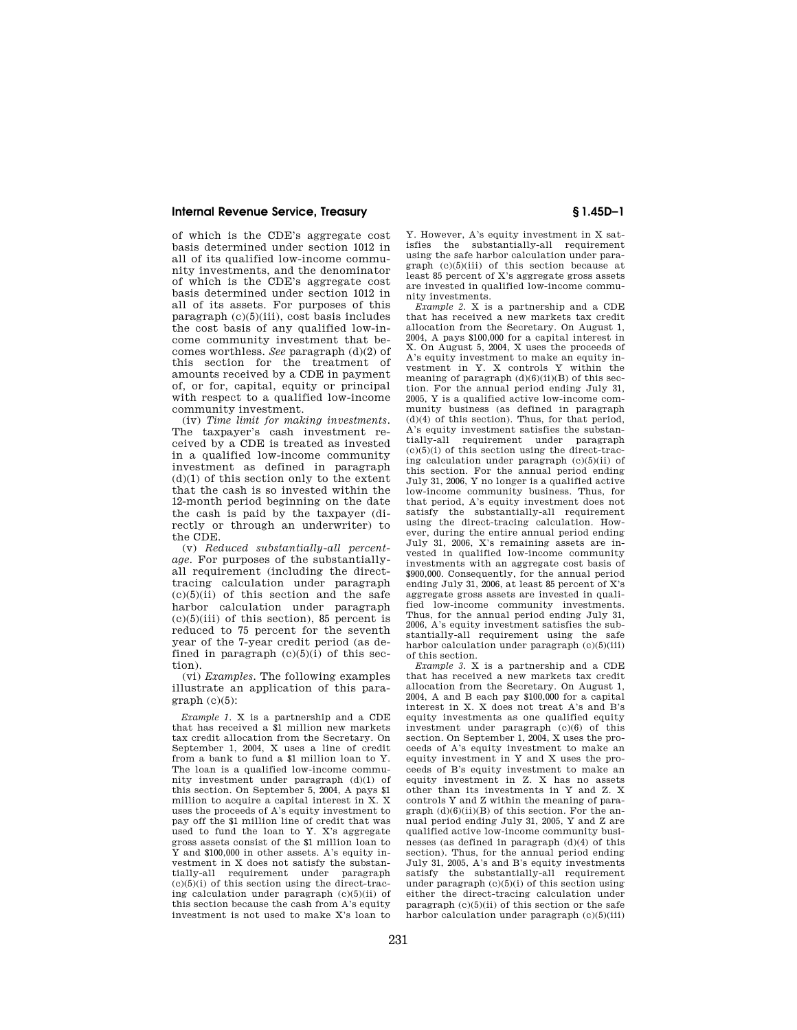of which is the CDE's aggregate cost basis determined under section 1012 in all of its qualified low-income community investments, and the denominator of which is the CDE's aggregate cost basis determined under section 1012 in all of its assets. For purposes of this paragraph (c)(5)(iii), cost basis includes the cost basis of any qualified low-income community investment that becomes worthless. *See* paragraph (d)(2) of this section for the treatment of amounts received by a CDE in payment of, or for, capital, equity or principal with respect to a qualified low-income community investment.

(iv) *Time limit for making investments.*  The taxpayer's cash investment received by a CDE is treated as invested in a qualified low-income community investment as defined in paragraph  $(d)(1)$  of this section only to the extent that the cash is so invested within the 12-month period beginning on the date the cash is paid by the taxpayer (directly or through an underwriter) to the CDE.

(v) *Reduced substantially-all percentage.* For purposes of the substantiallyall requirement (including the directtracing calculation under paragraph  $(c)(5)(ii)$  of this section and the safe harbor calculation under paragraph  $(c)(5)(iii)$  of this section), 85 percent is reduced to 75 percent for the seventh year of the 7-year credit period (as defined in paragraph  $(c)(5)(i)$  of this section).

(vi) *Examples.* The following examples illustrate an application of this para $graph (c)(5)$ :

*Example 1.* X is a partnership and a CDE that has received a \$1 million new markets tax credit allocation from the Secretary. On September 1, 2004, X uses a line of credit from a bank to fund a \$1 million loan to Y. The loan is a qualified low-income community investment under paragraph (d)(1) of this section. On September 5, 2004, A pays \$1 million to acquire a capital interest in X. X uses the proceeds of A's equity investment to pay off the \$1 million line of credit that was used to fund the loan to Y. X's aggregate gross assets consist of the \$1 million loan to Y and \$100,000 in other assets. A's equity investment in X does not satisfy the substantially-all requirement under paragraph  $(c)(5)(i)$  of this section using the direct-tracing calculation under paragraph (c)(5)(ii) of this section because the cash from A's equity investment is not used to make X's loan to

Y. However, A's equity investment in X satisfies the substantially-all requirement using the safe harbor calculation under paragraph (c)(5)(iii) of this section because at least 85 percent of X's aggregate gross assets are invested in qualified low-income community investments.

*Example 2.* X is a partnership and a CDE that has received a new markets tax credit allocation from the Secretary. On August 1, 2004, A pays \$100,000 for a capital interest in X. On August 5, 2004, X uses the proceeds of A's equity investment to make an equity investment in Y. X controls Y within the meaning of paragraph  $(d)(6)(ii)(B)$  of this section. For the annual period ending July 31, 2005, Y is a qualified active low-income community business (as defined in paragraph  $(d)(4)$  of this section). Thus, for that period, A's equity investment satisfies the substantially-all requirement under paragraph  $(c)(5)(i)$  of this section using the direct-tracing calculation under paragraph (c)(5)(ii) of this section. For the annual period ending July 31, 2006, Y no longer is a qualified active low-income community business. Thus, for that period, A's equity investment does not satisfy the substantially-all requirement using the direct-tracing calculation. However, during the entire annual period ending July 31, 2006, X's remaining assets are invested in qualified low-income community investments with an aggregate cost basis of \$900,000. Consequently, for the annual period ending July 31, 2006, at least 85 percent of X's aggregate gross assets are invested in qualified low-income community investments. Thus, for the annual period ending July 31, 2006, A's equity investment satisfies the substantially-all requirement using the safe harbor calculation under paragraph (c)(5)(iii) of this section.

*Example 3.* X is a partnership and a CDE that has received a new markets tax credit allocation from the Secretary. On August 1, 2004, A and B each pay \$100,000 for a capital interest in X. X does not treat A's and B's equity investments as one qualified equity investment under paragraph (c)(6) of this section. On September 1, 2004, X uses the proceeds of A's equity investment to make an equity investment in Y and X uses the proceeds of B's equity investment to make an equity investment in Z. X has no assets other than its investments in Y and Z. X controls Y and Z within the meaning of para $graph (d)(6)(ii)(B)$  of this section. For the annual period ending July 31, 2005, Y and Z are qualified active low-income community businesses (as defined in paragraph (d)(4) of this section). Thus, for the annual period ending July 31, 2005, A's and B's equity investments satisfy the substantially-all requirement under paragraph  $(c)(5)(i)$  of this section using either the direct-tracing calculation under paragraph  $(c)(5)(ii)$  of this section or the safe harbor calculation under paragraph (c)(5)(iii)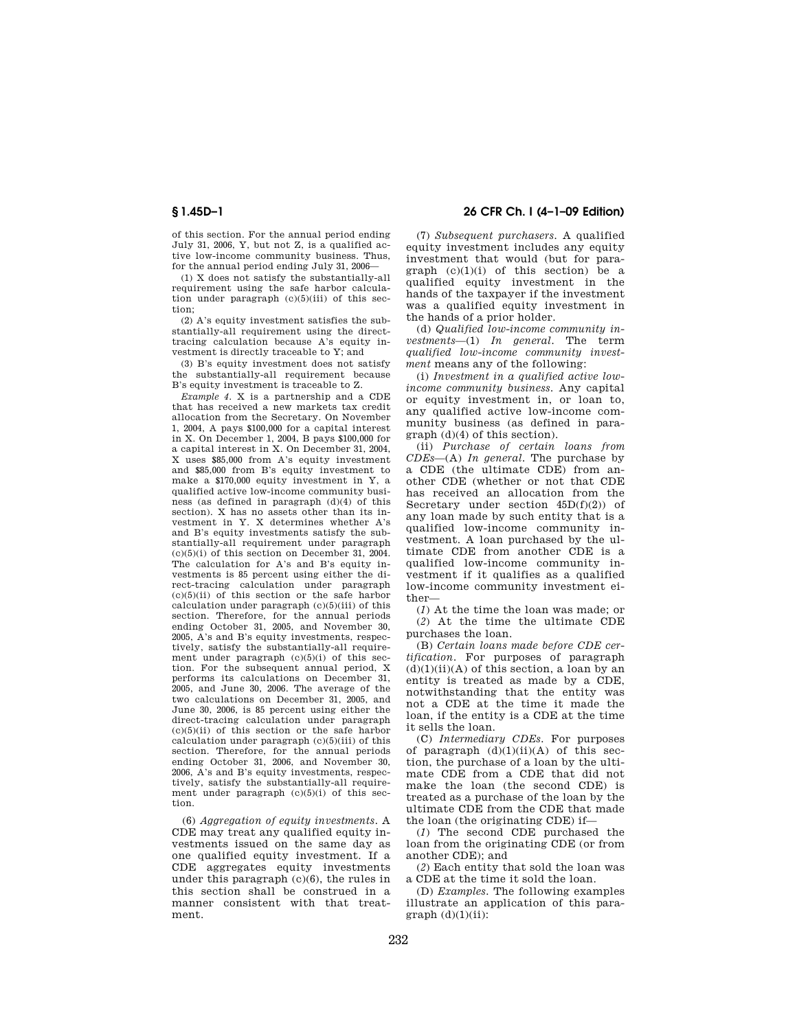of this section. For the annual period ending July 31, 2006, Y, but not Z, is a qualified active low-income community business. Thus, for the annual period ending July 31, 2006—

(1) X does not satisfy the substantially-all requirement using the safe harbor calculation under paragraph  $(c)(5)(iii)$  of this section;

(2) A's equity investment satisfies the substantially-all requirement using the directtracing calculation because A's equity investment is directly traceable to Y; and

(3) B's equity investment does not satisfy the substantially-all requirement because B's equity investment is traceable to Z.

*Example 4.* X is a partnership and a CDE that has received a new markets tax credit allocation from the Secretary. On November 1, 2004, A pays \$100,000 for a capital interest in X. On December 1, 2004, B pays \$100,000 for a capital interest in X. On December 31, 2004, X uses \$85,000 from A's equity investment and \$85,000 from B's equity investment to make a \$170,000 equity investment in Y, a qualified active low-income community business (as defined in paragraph (d)(4) of this section). X has no assets other than its investment in Y. X determines whether A's and B's equity investments satisfy the substantially-all requirement under paragraph  $(c)(5)(i)$  of this section on December 31, 2004. The calculation for A's and B's equity investments is 85 percent using either the direct-tracing calculation under paragraph (c)(5)(ii) of this section or the safe harbor calculation under paragraph (c)(5)(iii) of this section. Therefore, for the annual periods ending October 31, 2005, and November 30, 2005, A's and B's equity investments, respectively, satisfy the substantially-all requirement under paragraph (c)(5)(i) of this section. For the subsequent annual period, X performs its calculations on December 31, 2005, and June 30, 2006. The average of the two calculations on December 31, 2005, and June 30, 2006, is 85 percent using either the direct-tracing calculation under paragraph  $(c)(5)(ii)$  of this section or the safe harbor calculation under paragraph (c)(5)(iii) of this section. Therefore, for the annual periods ending October 31, 2006, and November 30, 2006, A's and B's equity investments, respectively, satisfy the substantially-all requirement under paragraph  $(c)(5)(i)$  of this section.

(6) *Aggregation of equity investments.* A CDE may treat any qualified equity investments issued on the same day as one qualified equity investment. If a CDE aggregates equity investments under this paragraph (c)(6), the rules in this section shall be construed in a manner consistent with that treatment.

# **§ 1.45D–1 26 CFR Ch. I (4–1–09 Edition)**

(7) *Subsequent purchasers.* A qualified equity investment includes any equity investment that would (but for paragraph  $(c)(1)(i)$  of this section) be a qualified equity investment in the hands of the taxpayer if the investment was a qualified equity investment in the hands of a prior holder.

(d) *Qualified low-income community investments*—(1) *In general.* The term *qualified low-income community investment* means any of the following:

(i) *Investment in a qualified active lowincome community business.* Any capital or equity investment in, or loan to, any qualified active low-income community business (as defined in paragraph (d)(4) of this section).

(ii) *Purchase of certain loans from CDEs*—(A) *In general.* The purchase by a CDE (the ultimate CDE) from another CDE (whether or not that CDE has received an allocation from the Secretary under section  $45D(f)(2)$  of any loan made by such entity that is a qualified low-income community investment. A loan purchased by the ultimate CDE from another CDE is a qualified low-income community investment if it qualifies as a qualified low-income community investment either—

(*1*) At the time the loan was made; or (*2*) At the time the ultimate CDE purchases the loan.

(B) *Certain loans made before CDE certification.* For purposes of paragraph  $(d)(1)(ii)(A)$  of this section, a loan by an entity is treated as made by a CDE, notwithstanding that the entity was not a CDE at the time it made the loan, if the entity is a CDE at the time it sells the loan.

(C) *Intermediary CDEs.* For purposes of paragraph  $(d)(1)(ii)(A)$  of this section, the purchase of a loan by the ultimate CDE from a CDE that did not make the loan (the second CDE) is treated as a purchase of the loan by the ultimate CDE from the CDE that made the loan (the originating CDE) if—

(*1*) The second CDE purchased the loan from the originating CDE (or from another CDE); and

(*2*) Each entity that sold the loan was a CDE at the time it sold the loan.

(D) *Examples.* The following examples illustrate an application of this para $graph$  (d)(1)(ii):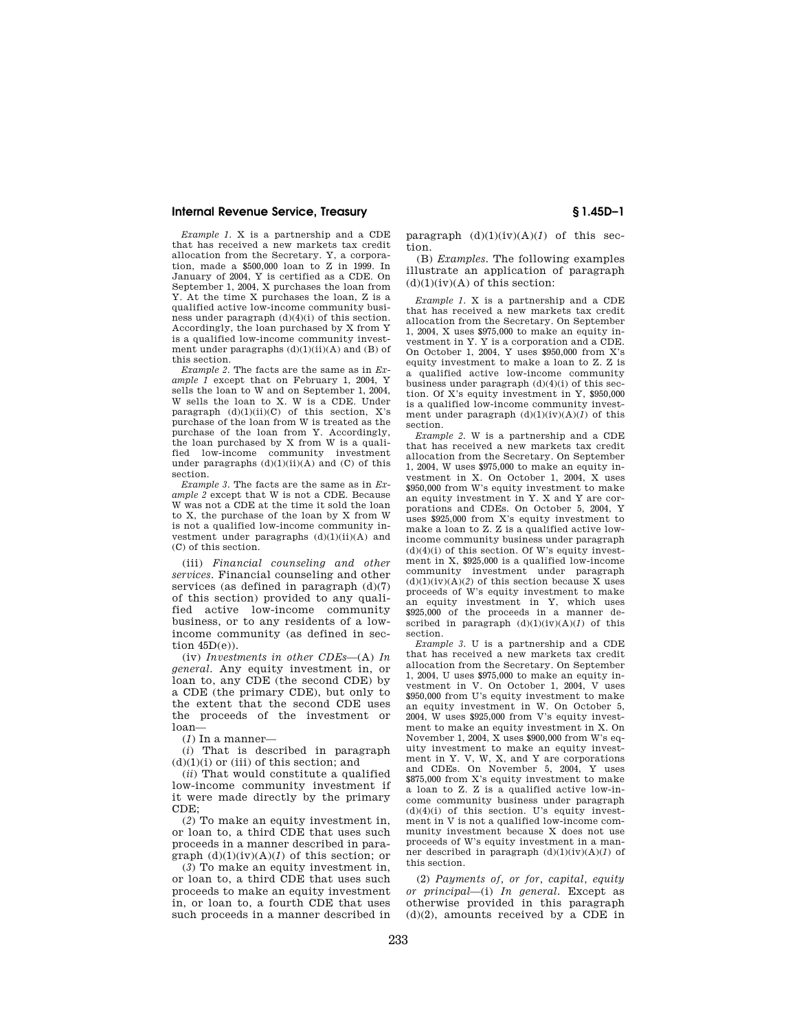*Example 1.* X is a partnership and a CDE that has received a new markets tax credit allocation from the Secretary. Y, a corporation, made a \$500,000 loan to Z in 1999. In January of 2004, Y is certified as a CDE. On September 1, 2004, X purchases the loan from Y. At the time X purchases the loan, Z is a qualified active low-income community business under paragraph (d)(4)(i) of this section. Accordingly, the loan purchased by X from Y is a qualified low-income community investment under paragraphs  $(d)(1)(ii)(A)$  and  $(B)$  of this section.

*Example 2.* The facts are the same as in *Example 1* except that on February 1, 2004, Y sells the loan to W and on September 1, 2004, W sells the loan to X. W is a CDE. Under paragraph  $(d)(1)(ii)(C)$  of this section, X's purchase of the loan from W is treated as the purchase of the loan from Y. Accordingly, the loan purchased by X from W is a qualified low-income community investment under paragraphs  $(d)(1)(ii)(A)$  and  $(C)$  of this section.

*Example 3.* The facts are the same as in *Example 2* except that W is not a CDE. Because W was not a CDE at the time it sold the loan to X, the purchase of the loan by X from W is not a qualified low-income community investment under paragraphs (d)(1)(ii)(A) and (C) of this section.

(iii) *Financial counseling and other services.* Financial counseling and other services (as defined in paragraph (d)(7) of this section) provided to any qualified active low-income community business, or to any residents of a lowincome community (as defined in section 45D(e)).

(iv) *Investments in other CDEs*—(A) *In general.* Any equity investment in, or loan to, any CDE (the second CDE) by a CDE (the primary CDE), but only to the extent that the second CDE uses the proceeds of the investment or loan—

(*1*) In a manner—

(*i*) That is described in paragraph  $(d)(1)(i)$  or (iii) of this section; and

(*ii*) That would constitute a qualified low-income community investment if it were made directly by the primary  $CDE$ 

(*2*) To make an equity investment in, or loan to, a third CDE that uses such proceeds in a manner described in paragraph  $(d)(1)(iv)(A)(I)$  of this section; or

(*3*) To make an equity investment in, or loan to, a third CDE that uses such proceeds to make an equity investment in, or loan to, a fourth CDE that uses such proceeds in a manner described in

paragraph (d)(1)(iv)(A)(*1*) of this section.

(B) *Examples.* The following examples illustrate an application of paragraph  $(d)(1)(iv)(A)$  of this section:

*Example 1.* X is a partnership and a CDE that has received a new markets tax credit allocation from the Secretary. On September 1, 2004, X uses \$975,000 to make an equity investment in Y. Y is a corporation and a CDE. On October 1, 2004, Y uses \$950,000 from X's equity investment to make a loan to Z. Z is a qualified active low-income community business under paragraph (d)(4)(i) of this section. Of X's equity investment in Y, \$950,000 is a qualified low-income community investment under paragraph (d)(1)(iv)(A)(*1*) of this section.

*Example 2.* W is a partnership and a CDE that has received a new markets tax credit allocation from the Secretary. On September 1, 2004, W uses \$975,000 to make an equity investment in X. On October 1, 2004, X uses \$950,000 from W's equity investment to make an equity investment in Y. X and Y are corporations and CDEs. On October 5, 2004, Y uses \$925,000 from X's equity investment to make a loan to Z. Z is a qualified active lowincome community business under paragraph  $(d)(4)(i)$  of this section. Of W's equity investment in X, \$925,000 is a qualified low-income community investment under paragraph  $(d)(1)(iv)(A)(2)$  of this section because X uses proceeds of W's equity investment to make an equity investment in Y, which uses \$925,000 of the proceeds in a manner described in paragraph  $(d)(1)(iv)(A)(1)$  of this section.

*Example 3.* U is a partnership and a CDE that has received a new markets tax credit allocation from the Secretary. On September 1, 2004, U uses \$975,000 to make an equity investment in V. On October 1, 2004, V uses \$950,000 from U's equity investment to make an equity investment in W. On October 5, 2004, W uses \$925,000 from V's equity investment to make an equity investment in X. On November 1, 2004, X uses \$900,000 from W's equity investment to make an equity investment in Y. V, W, X, and Y are corporations and CDEs. On November 5, 2004, Y uses \$875,000 from X's equity investment to make a loan to Z. Z is a qualified active low-income community business under paragraph  $(d)(4)(i)$  of this section. U's equity investment in V is not a qualified low-income community investment because X does not use proceeds of W's equity investment in a manner described in paragraph  $(d)(1)(iv)(A)(1)$  of this section.

(2) *Payments of, or for, capital, equity or principal*—(i) *In general.* Except as otherwise provided in this paragraph  $(d)(2)$ , amounts received by a CDE in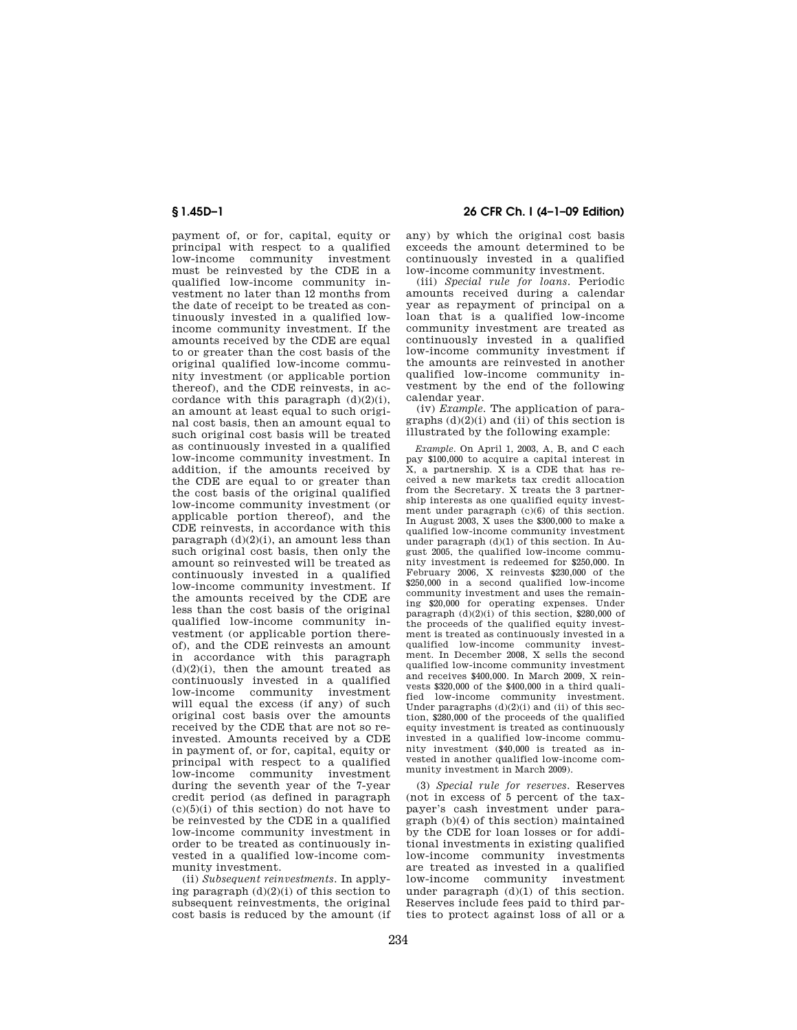payment of, or for, capital, equity or principal with respect to a qualified low-income community investment must be reinvested by the CDE in a qualified low-income community investment no later than 12 months from the date of receipt to be treated as continuously invested in a qualified lowincome community investment. If the amounts received by the CDE are equal to or greater than the cost basis of the original qualified low-income community investment (or applicable portion thereof), and the CDE reinvests, in accordance with this paragraph  $(d)(2)(i)$ , an amount at least equal to such original cost basis, then an amount equal to such original cost basis will be treated as continuously invested in a qualified low-income community investment. In addition, if the amounts received by the CDE are equal to or greater than the cost basis of the original qualified low-income community investment (or applicable portion thereof), and the CDE reinvests, in accordance with this paragraph  $(d)(2)(i)$ , an amount less than such original cost basis, then only the amount so reinvested will be treated as continuously invested in a qualified low-income community investment. If the amounts received by the CDE are less than the cost basis of the original qualified low-income community investment (or applicable portion thereof), and the CDE reinvests an amount in accordance with this paragraph  $(d)(2)(i)$ , then the amount treated as continuously invested in a qualified low-income community investment will equal the excess (if any) of such original cost basis over the amounts received by the CDE that are not so reinvested. Amounts received by a CDE in payment of, or for, capital, equity or principal with respect to a qualified low-income community investment during the seventh year of the 7-year credit period (as defined in paragraph  $(c)(5)(i)$  of this section) do not have to be reinvested by the CDE in a qualified low-income community investment in order to be treated as continuously invested in a qualified low-income community investment.

(ii) *Subsequent reinvestments.* In applying paragraph  $(d)(2)(i)$  of this section to subsequent reinvestments, the original cost basis is reduced by the amount (if

**§ 1.45D–1 26 CFR Ch. I (4–1–09 Edition)** 

any) by which the original cost basis exceeds the amount determined to be continuously invested in a qualified low-income community investment.

(iii) *Special rule for loans.* Periodic amounts received during a calendar year as repayment of principal on a loan that is a qualified low-income community investment are treated as continuously invested in a qualified low-income community investment if the amounts are reinvested in another qualified low-income community investment by the end of the following calendar year.

(iv) *Example.* The application of paragraphs  $(d)(2)(i)$  and  $(ii)$  of this section is illustrated by the following example:

*Example.* On April 1, 2003, A, B, and C each pay \$100,000 to acquire a capital interest in X, a partnership. X is a CDE that has received a new markets tax credit allocation from the Secretary. X treats the 3 partnership interests as one qualified equity investment under paragraph (c)(6) of this section. In August 2003, X uses the \$300,000 to make a qualified low-income community investment under paragraph (d)(1) of this section. In August 2005, the qualified low-income community investment is redeemed for \$250,000. In February 2006, X reinvests \$230,000 of the \$250,000 in a second qualified low-income community investment and uses the remaining \$20,000 for operating expenses. Under paragraph  $(d)(2)(i)$  of this section, \$280,000 of the proceeds of the qualified equity investment is treated as continuously invested in a qualified low-income community investment. In December 2008, X sells the second qualified low-income community investment and receives \$400,000. In March 2009, X reinvests \$320,000 of the \$400,000 in a third qualified low-income community investment. Under paragraphs  $(d)(2)(i)$  and  $(ii)$  of this section, \$280,000 of the proceeds of the qualified equity investment is treated as continuously invested in a qualified low-income community investment (\$40,000 is treated as invested in another qualified low-income community investment in March 2009).

(3) *Special rule for reserves.* Reserves (not in excess of 5 percent of the taxpayer's cash investment under paragraph (b)(4) of this section) maintained by the CDE for loan losses or for additional investments in existing qualified low-income community investments are treated as invested in a qualified low-income community investment under paragraph  $(d)(1)$  of this section. Reserves include fees paid to third parties to protect against loss of all or a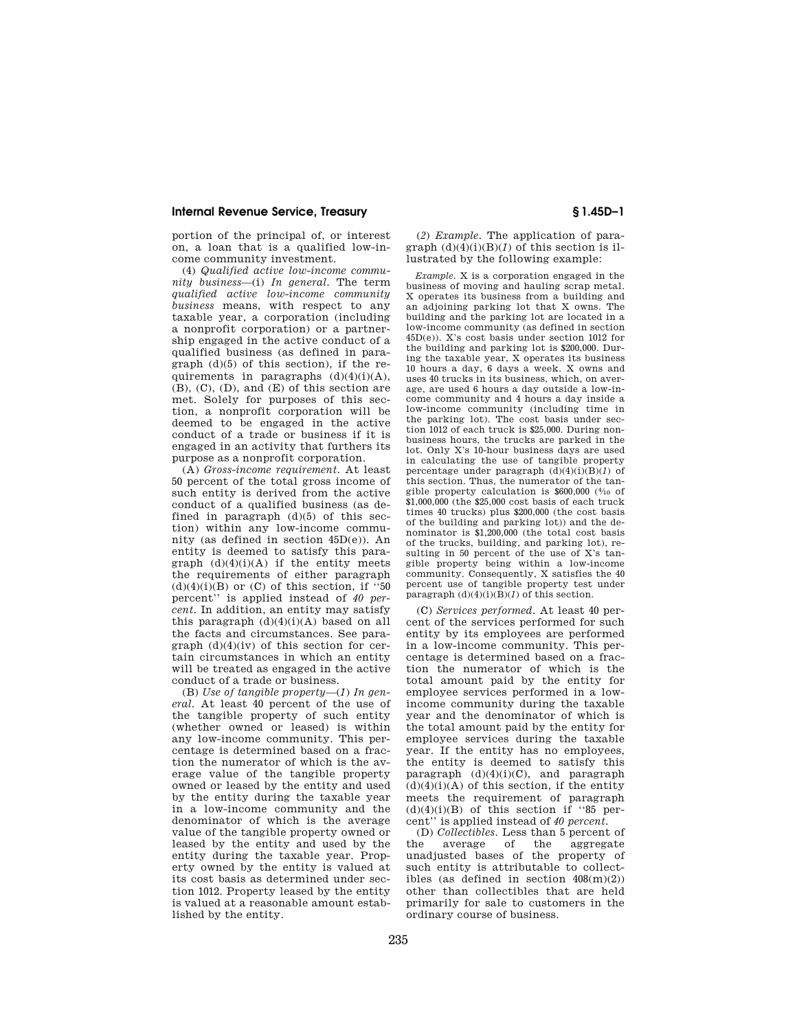portion of the principal of, or interest on, a loan that is a qualified low-income community investment.

(4) *Qualified active low-income community business*—(i) *In general.* The term *qualified active low-income community business* means, with respect to any taxable year, a corporation (including a nonprofit corporation) or a partnership engaged in the active conduct of a qualified business (as defined in paragraph  $(d)(5)$  of this section), if the requirements in paragraphs  $(d)(4)(i)(A)$ , (B), (C), (D), and (E) of this section are met. Solely for purposes of this section, a nonprofit corporation will be deemed to be engaged in the active conduct of a trade or business if it is engaged in an activity that furthers its purpose as a nonprofit corporation.

(A) *Gross-income requirement.* At least 50 percent of the total gross income of such entity is derived from the active conduct of a qualified business (as defined in paragraph  $(d)(5)$  of this section) within any low-income community (as defined in section 45D(e)). An entity is deemed to satisfy this paragraph  $(d)(4)(i)(A)$  if the entity meets the requirements of either paragraph  $(d)(4)(i)(B)$  or  $(C)$  of this section, if "50 percent'' is applied instead of *40 percent.* In addition, an entity may satisfy this paragraph  $(d)(4)(i)(A)$  based on all the facts and circumstances. See paragraph  $(d)(4)(iv)$  of this section for certain circumstances in which an entity will be treated as engaged in the active conduct of a trade or business.

(B) *Use of tangible property*—(*1*) *In general.* At least 40 percent of the use of the tangible property of such entity (whether owned or leased) is within any low-income community. This percentage is determined based on a fraction the numerator of which is the average value of the tangible property owned or leased by the entity and used by the entity during the taxable year in a low-income community and the denominator of which is the average value of the tangible property owned or leased by the entity and used by the entity during the taxable year. Property owned by the entity is valued at its cost basis as determined under section 1012. Property leased by the entity is valued at a reasonable amount established by the entity.

(*2*) *Example.* The application of paragraph  $(d)(4)(i)(B)(I)$  of this section is illustrated by the following example:

*Example.* X is a corporation engaged in the business of moving and hauling scrap metal. X operates its business from a building and an adjoining parking lot that X owns. The building and the parking lot are located in a low-income community (as defined in section 45D(e)). X's cost basis under section 1012 for the building and parking lot is \$200,000. During the taxable year, X operates its business 10 hours a day, 6 days a week. X owns and uses 40 trucks in its business, which, on average, are used 6 hours a day outside a low-income community and 4 hours a day inside a low-income community (including time in the parking lot). The cost basis under section 1012 of each truck is \$25,000. During nonbusiness hours, the trucks are parked in the lot. Only X's 10-hour business days are used in calculating the use of tangible property percentage under paragraph  $(d)(4)(i)(B)(1)$  of this section. Thus, the numerator of the tangible property calculation is \$600,000 (4⁄10 of \$1,000,000 (the \$25,000 cost basis of each truck times 40 trucks) plus \$200,000 (the cost basis of the building and parking lot)) and the denominator is \$1,200,000 (the total cost basis of the trucks, building, and parking lot), resulting in 50 percent of the use of X's tangible property being within a low-income community. Consequently, X satisfies the 40 percent use of tangible property test under paragraph  $(d)(4)(i)(B)(1)$  of this section.

(C) *Services performed.* At least 40 percent of the services performed for such entity by its employees are performed in a low-income community. This percentage is determined based on a fraction the numerator of which is the total amount paid by the entity for employee services performed in a lowincome community during the taxable year and the denominator of which is the total amount paid by the entity for employee services during the taxable year. If the entity has no employees, the entity is deemed to satisfy this paragraph  $(d)(4)(i)(C)$ , and paragraph  $(d)(4)(i)(A)$  of this section, if the entity meets the requirement of paragraph  $(d)(4)(i)(B)$  of this section if "85 percent'' is applied instead of *40 percent.* 

(D) *Collectibles.* Less than 5 percent of the average of the aggregate unadjusted bases of the property of such entity is attributable to collectibles (as defined in section  $408(m)(2)$ ) other than collectibles that are held primarily for sale to customers in the ordinary course of business.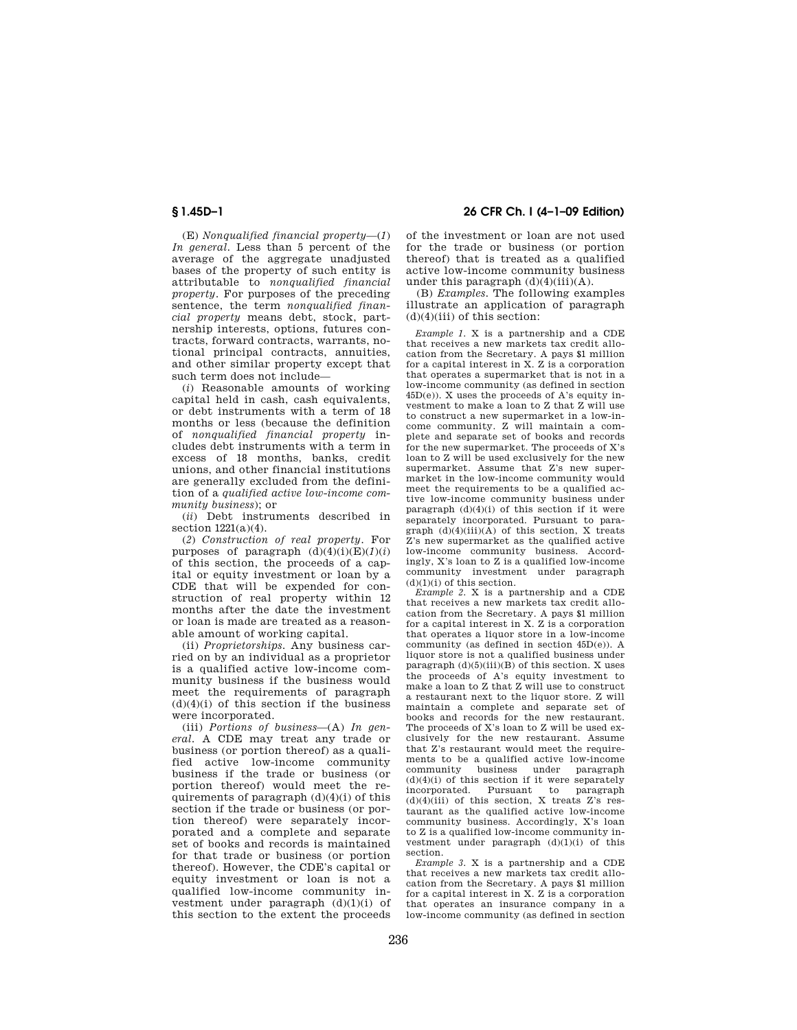**§ 1.45D–1 26 CFR Ch. I (4–1–09 Edition)** 

(E) *Nonqualified financial property*—(*1*) *In general.* Less than 5 percent of the average of the aggregate unadjusted bases of the property of such entity is attributable to *nonqualified financial property.* For purposes of the preceding sentence, the term *nonqualified financial property* means debt, stock, partnership interests, options, futures contracts, forward contracts, warrants, notional principal contracts, annuities, and other similar property except that such term does not include—

(*i*) Reasonable amounts of working capital held in cash, cash equivalents, or debt instruments with a term of 18 months or less (because the definition of *nonqualified financial property* includes debt instruments with a term in excess of 18 months, banks, credit unions, and other financial institutions are generally excluded from the definition of a *qualified active low-income community business*); or

(*ii*) Debt instruments described in section  $1221(a)(4)$ .

(*2*) *Construction of real property.* For purposes of paragraph  $(d)(4)(i)(E)(1)(i)$ of this section, the proceeds of a capital or equity investment or loan by a CDE that will be expended for construction of real property within 12 months after the date the investment or loan is made are treated as a reasonable amount of working capital.

(ii) *Proprietorships.* Any business carried on by an individual as a proprietor is a qualified active low-income community business if the business would meet the requirements of paragraph  $(d)(4)(i)$  of this section if the business were incorporated.

(iii) *Portions of business*—(A) *In general.* A CDE may treat any trade or business (or portion thereof) as a qualified active low-income community business if the trade or business (or portion thereof) would meet the requirements of paragraph  $(d)(4)(i)$  of this section if the trade or business (or portion thereof) were separately incorporated and a complete and separate set of books and records is maintained for that trade or business (or portion thereof). However, the CDE's capital or equity investment or loan is not a qualified low-income community investment under paragraph  $(d)(1)(i)$  of this section to the extent the proceeds

of the investment or loan are not used for the trade or business (or portion thereof) that is treated as a qualified active low-income community business under this paragraph  $(d)(4)(iii)(A)$ .

(B) *Examples.* The following examples illustrate an application of paragraph  $(d)(4)(iii)$  of this section:

*Example 1.* X is a partnership and a CDE that receives a new markets tax credit allocation from the Secretary. A pays \$1 million for a capital interest in X. Z is a corporation that operates a supermarket that is not in a low-income community (as defined in section  $45D(e)$ ). X uses the proceeds of A's equity investment to make a loan to Z that Z will use to construct a new supermarket in a low-income community. Z will maintain a complete and separate set of books and records for the new supermarket. The proceeds of X's loan to Z will be used exclusively for the new supermarket. Assume that Z's new supermarket in the low-income community would meet the requirements to be a qualified active low-income community business under paragraph  $(d)(4)(i)$  of this section if it were separately incorporated. Pursuant to paragraph (d)(4)(iii)(A) of this section, X treats Z's new supermarket as the qualified active low-income community business. Accordingly, X's loan to Z is a qualified low-income community investment under paragraph  $(d)(1)(i)$  of this section.

*Example 2.* X is a partnership and a CDE that receives a new markets tax credit allocation from the Secretary. A pays \$1 million for a capital interest in X. Z is a corporation that operates a liquor store in a low-income community (as defined in section 45D(e)). A liquor store is not a qualified business under paragraph  $(d)(5)(iii)(B)$  of this section. X uses the proceeds of A's equity investment to make a loan to Z that Z will use to construct a restaurant next to the liquor store. Z will maintain a complete and separate set of books and records for the new restaurant. The proceeds of X's loan to Z will be used exclusively for the new restaurant. Assume that Z's restaurant would meet the requirements to be a qualified active low-income<br>community business under paragraph community  $(d)(4)(i)$  of this section if it were separately incorporated. Pursuant to paragraph  $(d)(4)(iii)$  of this section, X treats Z's restaurant as the qualified active low-income community business. Accordingly, X's loan to Z is a qualified low-income community investment under paragraph (d)(1)(i) of this section.

*Example 3.* X is a partnership and a CDE that receives a new markets tax credit allocation from the Secretary. A pays \$1 million for a capital interest in X. Z is a corporation that operates an insurance company in a low-income community (as defined in section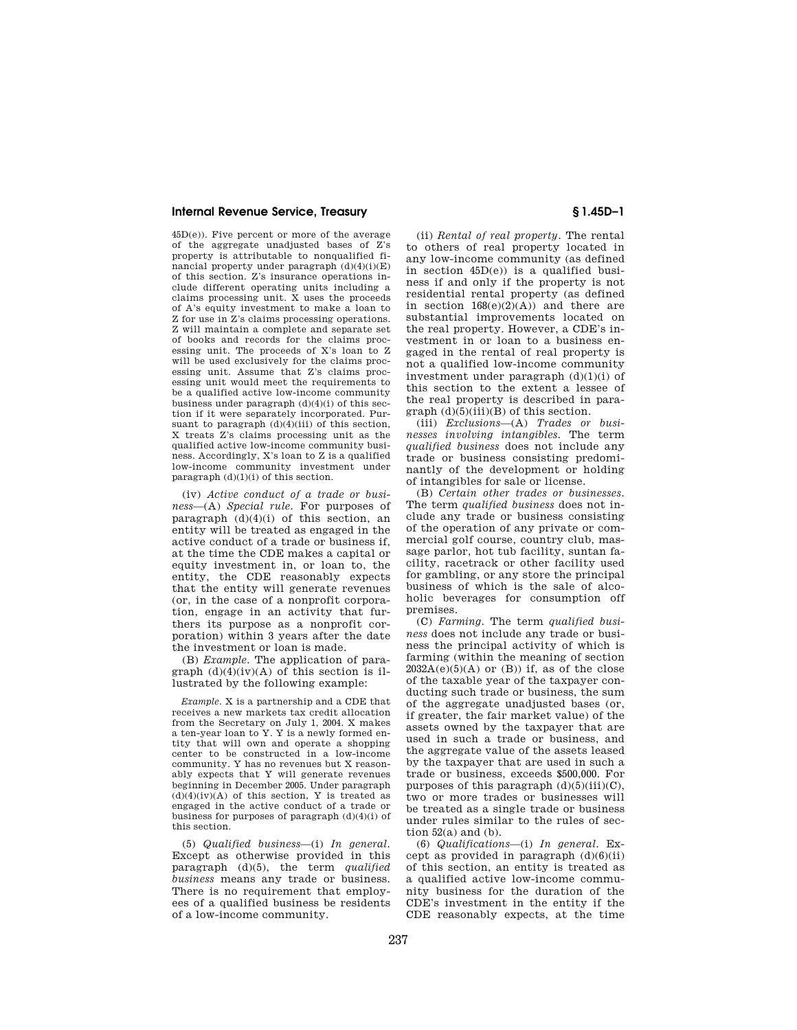45D(e)). Five percent or more of the average of the aggregate unadjusted bases of Z's property is attributable to nonqualified financial property under paragraph  $(d)(4)(i)(E)$ of this section. Z's insurance operations include different operating units including a claims processing unit. X uses the proceeds of A's equity investment to make a loan to Z for use in Z's claims processing operations. Z will maintain a complete and separate set of books and records for the claims processing unit. The proceeds of X's loan to Z will be used exclusively for the claims processing unit. Assume that Z's claims processing unit would meet the requirements to be a qualified active low-income community business under paragraph  $(d)(4)(i)$  of this section if it were separately incorporated. Pursuant to paragraph  $(d)(4)(iii)$  of this section, X treats Z's claims processing unit as the qualified active low-income community business. Accordingly, X's loan to Z is a qualified low-income community investment under paragraph  $(d)(1)(i)$  of this section.

(iv) *Active conduct of a trade or business*—(A) *Special rule.* For purposes of paragraph  $(d)(4)(i)$  of this section, an entity will be treated as engaged in the active conduct of a trade or business if, at the time the CDE makes a capital or equity investment in, or loan to, the entity, the CDE reasonably expects that the entity will generate revenues (or, in the case of a nonprofit corporation, engage in an activity that furthers its purpose as a nonprofit corporation) within 3 years after the date the investment or loan is made.

(B) *Example.* The application of paragraph  $(d)(4)(iv)(A)$  of this section is illustrated by the following example:

*Example.* X is a partnership and a CDE that receives a new markets tax credit allocation from the Secretary on July 1, 2004. X makes a ten-year loan to Y. Y is a newly formed entity that will own and operate a shopping center to be constructed in a low-income community. Y has no revenues but X reasonably expects that Y will generate revenues beginning in December 2005. Under paragraph  $(d)(4)(iv)(A)$  of this section, Y is treated as engaged in the active conduct of a trade or business for purposes of paragraph  $(d)(4)(i)$  of this section.

(5) *Qualified business*—(i) *In general.*  Except as otherwise provided in this paragraph (d)(5), the term *qualified business* means any trade or business. There is no requirement that employees of a qualified business be residents of a low-income community.

(ii) *Rental of real property.* The rental to others of real property located in any low-income community (as defined in section 45D(e)) is a qualified business if and only if the property is not residential rental property (as defined in section  $168(e)(2)(A)$  and there are substantial improvements located on the real property. However, a CDE's investment in or loan to a business engaged in the rental of real property is not a qualified low-income community investment under paragraph  $(d)(1)(i)$  of this section to the extent a lessee of the real property is described in para $graph$  (d)(5)(iii)(B) of this section.

(iii) *Exclusions*—(A) *Trades or businesses involving intangibles.* The term *qualified business* does not include any trade or business consisting predominantly of the development or holding of intangibles for sale or license.

(B) *Certain other trades or businesses.*  The term *qualified business* does not include any trade or business consisting of the operation of any private or commercial golf course, country club, massage parlor, hot tub facility, suntan facility, racetrack or other facility used for gambling, or any store the principal business of which is the sale of alcoholic beverages for consumption off premises.

(C) *Farming.* The term *qualified business* does not include any trade or business the principal activity of which is farming (within the meaning of section  $2032A(e)(5)(A)$  or  $(B)$ ) if, as of the close of the taxable year of the taxpayer conducting such trade or business, the sum of the aggregate unadjusted bases (or, if greater, the fair market value) of the assets owned by the taxpayer that are used in such a trade or business, and the aggregate value of the assets leased by the taxpayer that are used in such a trade or business, exceeds \$500,000. For purposes of this paragraph  $(d)(5)(iii)(C)$ , two or more trades or businesses will be treated as a single trade or business under rules similar to the rules of section  $52(a)$  and  $(b)$ .

(6) *Qualifications*—(i) *In general.* Except as provided in paragraph  $(d)(6)(ii)$ of this section, an entity is treated as a qualified active low-income community business for the duration of the CDE's investment in the entity if the CDE reasonably expects, at the time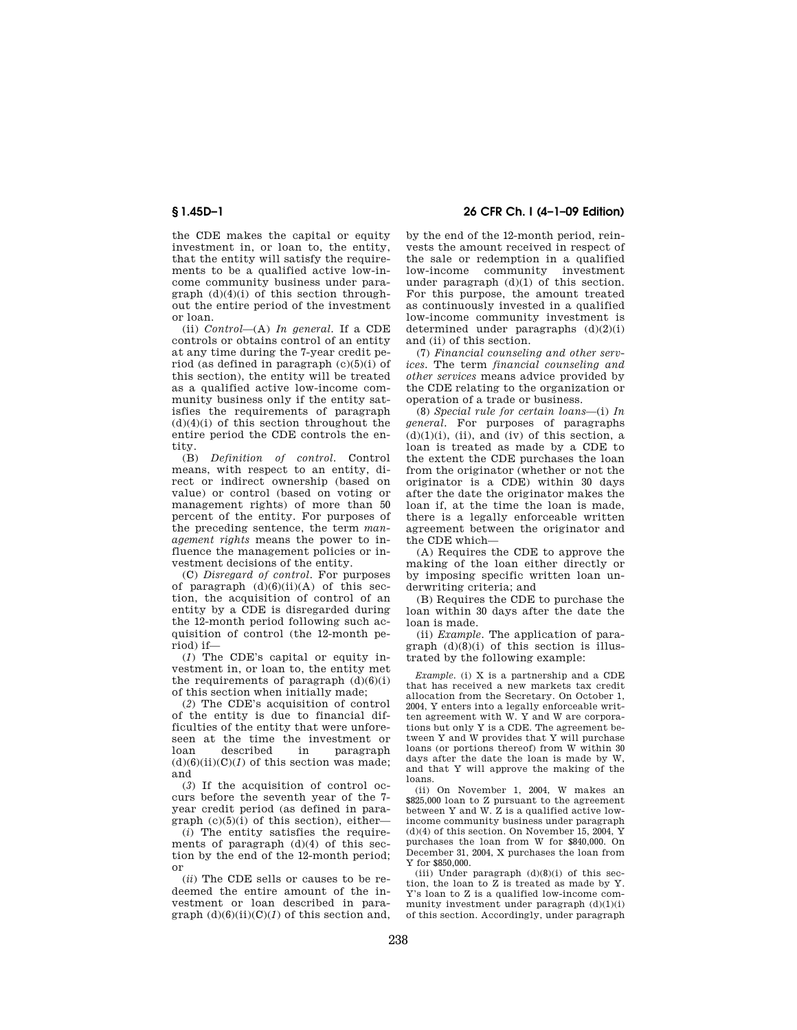the CDE makes the capital or equity investment in, or loan to, the entity, that the entity will satisfy the requirements to be a qualified active low-income community business under paragraph (d)(4)(i) of this section throughout the entire period of the investment or loan.

(ii) *Control*—(A) *In general.* If a CDE controls or obtains control of an entity at any time during the 7-year credit period (as defined in paragraph (c)(5)(i) of this section), the entity will be treated as a qualified active low-income community business only if the entity satisfies the requirements of paragraph  $(d)(4)(i)$  of this section throughout the entire period the CDE controls the entity.

(B) *Definition of control.* Control means, with respect to an entity, direct or indirect ownership (based on value) or control (based on voting or management rights) of more than 50 percent of the entity. For purposes of the preceding sentence, the term *management rights* means the power to influence the management policies or investment decisions of the entity.

(C) *Disregard of control.* For purposes of paragraph  $(d)(6)(ii)(A)$  of this section, the acquisition of control of an entity by a CDE is disregarded during the 12-month period following such acquisition of control (the 12-month period) if—

(*1*) The CDE's capital or equity investment in, or loan to, the entity met the requirements of paragraph  $(d)(6)(i)$ of this section when initially made;

(*2*) The CDE's acquisition of control of the entity is due to financial difficulties of the entity that were unforeseen at the time the investment or<br>loan described in paragraph loan described in paragraph  $(d)(6)(ii)(C)(1)$  of this section was made; and

(*3*) If the acquisition of control occurs before the seventh year of the 7 year credit period (as defined in paragraph  $(c)(5)(i)$  of this section), either-

(*i*) The entity satisfies the requirements of paragraph (d)(4) of this section by the end of the 12-month period; or

(*ii*) The CDE sells or causes to be redeemed the entire amount of the investment or loan described in paragraph  $(d)(6)(ii)(C)(1)$  of this section and,

**§ 1.45D–1 26 CFR Ch. I (4–1–09 Edition)** 

by the end of the 12-month period, reinvests the amount received in respect of the sale or redemption in a qualified low-income community investment under paragraph (d)(1) of this section. For this purpose, the amount treated as continuously invested in a qualified low-income community investment is determined under paragraphs  $(d)(2)(i)$ and (ii) of this section.

(7) *Financial counseling and other services.* The term *financial counseling and other services* means advice provided by the CDE relating to the organization or operation of a trade or business.

(8) *Special rule for certain loans*—(i) *In general.* For purposes of paragraphs  $(d)(1)(i)$ , (ii), and (iv) of this section, a loan is treated as made by a CDE to the extent the CDE purchases the loan from the originator (whether or not the originator is a CDE) within 30 days after the date the originator makes the loan if, at the time the loan is made, there is a legally enforceable written agreement between the originator and the CDE which—

(A) Requires the CDE to approve the making of the loan either directly or by imposing specific written loan underwriting criteria; and

(B) Requires the CDE to purchase the loan within 30 days after the date the loan is made.

(ii) *Example.* The application of paragraph  $(d)(8)(i)$  of this section is illustrated by the following example:

*Example.* (i) X is a partnership and a CDE that has received a new markets tax credit allocation from the Secretary. On October 1, 2004, Y enters into a legally enforceable written agreement with W. Y and W are corporations but only Y is a CDE. The agreement between Y and W provides that Y will purchase loans (or portions thereof) from W within 30 days after the date the loan is made by W, and that Y will approve the making of the loans.

(ii) On November 1, 2004, W makes an \$825,000 loan to Z pursuant to the agreement between Y and W. Z is a qualified active lowincome community business under paragraph  $(d)(4)$  of this section. On November 15, 2004, Y purchases the loan from W for \$840,000. On December 31, 2004, X purchases the loan from Y for \$850,000.

(iii) Under paragraph  $(d)(8)(i)$  of this section, the loan to Z is treated as made by Y. Y's loan to Z is a qualified low-income community investment under paragraph  $(d)(1)(i)$ of this section. Accordingly, under paragraph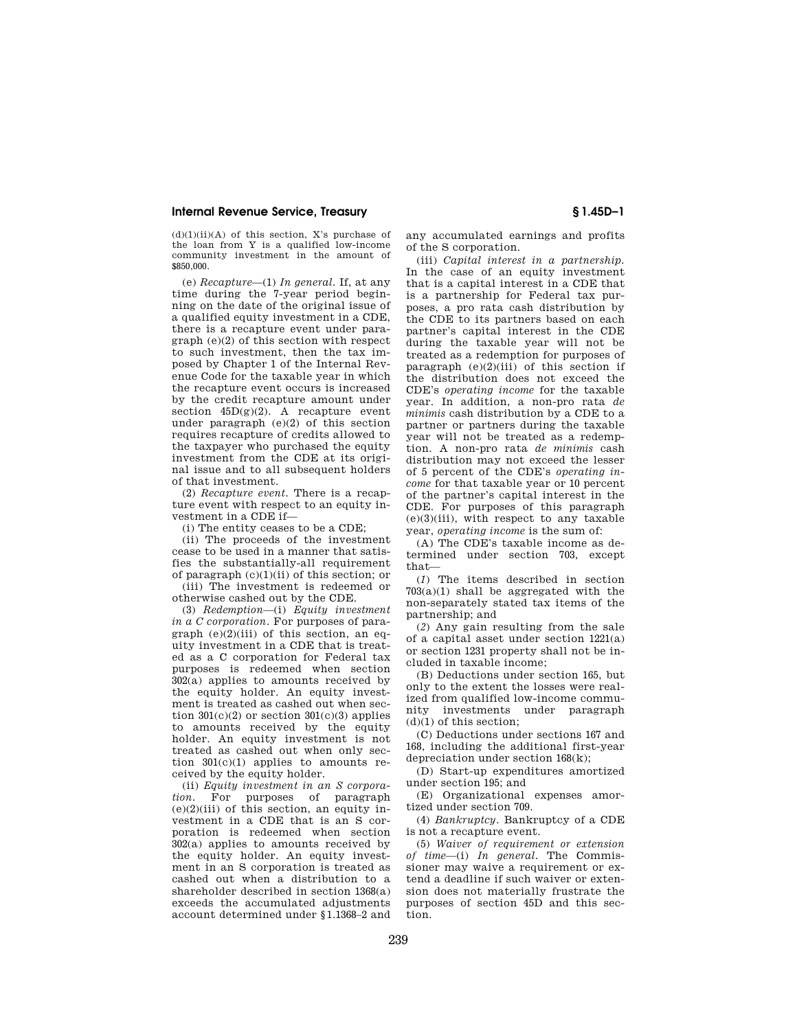$(d)(1)(ii)(A)$  of this section. X's purchase of the loan from Y is a qualified low-income community investment in the amount of \$850,000.

(e) *Recapture*—(1) *In general.* If, at any time during the 7-year period beginning on the date of the original issue of a qualified equity investment in a CDE. there is a recapture event under paragraph (e)(2) of this section with respect to such investment, then the tax imposed by Chapter 1 of the Internal Revenue Code for the taxable year in which the recapture event occurs is increased by the credit recapture amount under section  $45D(g)(2)$ . A recapture event under paragraph  $(e)(2)$  of this section requires recapture of credits allowed to the taxpayer who purchased the equity investment from the CDE at its original issue and to all subsequent holders of that investment.

(2) *Recapture event.* There is a recapture event with respect to an equity investment in a CDE if—

(i) The entity ceases to be a CDE;

(ii) The proceeds of the investment cease to be used in a manner that satisfies the substantially-all requirement of paragraph (c)(1)(ii) of this section; or

(iii) The investment is redeemed or otherwise cashed out by the CDE.

(3) *Redemption*—(i) *Equity investment in a C corporation.* For purposes of paragraph  $(e)(2)(iii)$  of this section, an equity investment in a CDE that is treated as a C corporation for Federal tax purposes is redeemed when section  $302(a)$  applies to amounts received by the equity holder. An equity investment is treated as cashed out when section  $301(c)(2)$  or section  $301(c)(3)$  applies to amounts received by the equity holder. An equity investment is not treated as cashed out when only section  $301(c)(1)$  applies to amounts received by the equity holder.

(ii) *Equity investment in an S corpora*purposes of paragraph  $(e)(2)(iii)$  of this section, an equity investment in a CDE that is an S corporation is redeemed when section 302(a) applies to amounts received by the equity holder. An equity investment in an S corporation is treated as cashed out when a distribution to a shareholder described in section 1368(a) exceeds the accumulated adjustments account determined under §1.1368–2 and any accumulated earnings and profits of the S corporation.

(iii) *Capital interest in a partnership.*  In the case of an equity investment that is a capital interest in a CDE that is a partnership for Federal tax purposes, a pro rata cash distribution by the CDE to its partners based on each partner's capital interest in the CDE during the taxable year will not be treated as a redemption for purposes of paragraph  $(e)(2)(iii)$  of this section if the distribution does not exceed the CDE's *operating income* for the taxable year. In addition, a non-pro rata *de minimis* cash distribution by a CDE to a partner or partners during the taxable year will not be treated as a redemption. A non-pro rata *de minimis* cash distribution may not exceed the lesser of 5 percent of the CDE's *operating income* for that taxable year or 10 percent of the partner's capital interest in the CDE. For purposes of this paragraph  $(e)(3)(iii)$ , with respect to any taxable year, *operating income* is the sum of:

(A) The CDE's taxable income as determined under section 703, except that—

(*1*) The items described in section 703(a)(1) shall be aggregated with the non-separately stated tax items of the partnership; and

(*2*) Any gain resulting from the sale of a capital asset under section 1221(a) or section 1231 property shall not be included in taxable income;

(B) Deductions under section 165, but only to the extent the losses were realized from qualified low-income community investments under paragraph (d)(1) of this section;

(C) Deductions under sections 167 and 168, including the additional first-year depreciation under section 168(k);

(D) Start-up expenditures amortized under section 195; and

(E) Organizational expenses amortized under section 709.

(4) *Bankruptcy.* Bankruptcy of a CDE is not a recapture event.

(5) *Waiver of requirement or extension of time*—(i) *In general.* The Commissioner may waive a requirement or extend a deadline if such waiver or extension does not materially frustrate the purposes of section 45D and this section.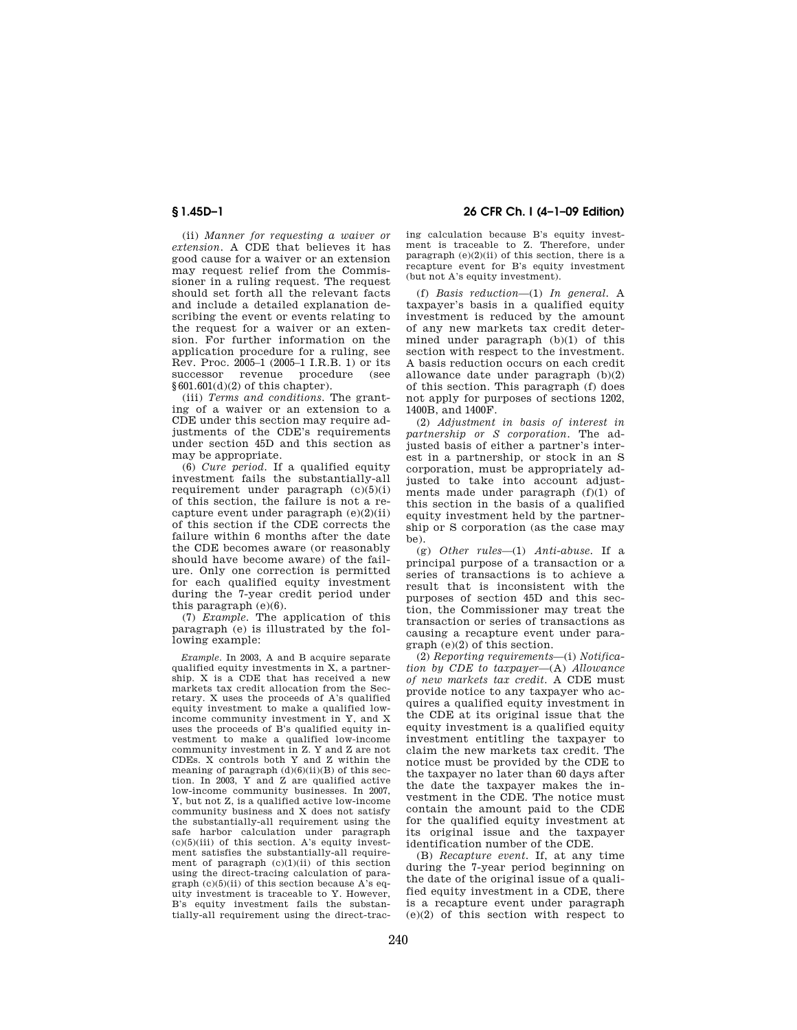(ii) *Manner for requesting a waiver or extension.* A CDE that believes it has good cause for a waiver or an extension may request relief from the Commissioner in a ruling request. The request should set forth all the relevant facts and include a detailed explanation describing the event or events relating to the request for a waiver or an extension. For further information on the application procedure for a ruling, see Rev. Proc. 2005–1 (2005–1 I.R.B. 1) or its successor revenue procedure (see  $§601.601(d)(2)$  of this chapter).

(iii) *Terms and conditions.* The granting of a waiver or an extension to a CDE under this section may require adjustments of the CDE's requirements under section 45D and this section as may be appropriate.

(6) *Cure period.* If a qualified equity investment fails the substantially-all requirement under paragraph (c)(5)(i) of this section, the failure is not a recapture event under paragraph (e)(2)(ii) of this section if the CDE corrects the failure within 6 months after the date the CDE becomes aware (or reasonably should have become aware) of the failure. Only one correction is permitted for each qualified equity investment during the 7-year credit period under this paragraph  $(e)(6)$ .

(7) *Example.* The application of this paragraph (e) is illustrated by the following example:

*Example.* In 2003, A and B acquire separate qualified equity investments in X, a partnership. X is a CDE that has received a new markets tax credit allocation from the Secretary. X uses the proceeds of A's qualified equity investment to make a qualified lowincome community investment in Y, and X uses the proceeds of B's qualified equity investment to make a qualified low-income community investment in Z. Y and Z are not CDEs. X controls both Y and Z within the meaning of paragraph  $(d)(6)(ii)(B)$  of this section. In 2003, Y and Z are qualified active low-income community businesses. In 2007, Y, but not Z, is a qualified active low-income community business and X does not satisfy the substantially-all requirement using the safe harbor calculation under paragraph  $(c)(5)(iii)$  of this section. A's equity investment satisfies the substantially-all requirement of paragraph  $(c)(1)(ii)$  of this section using the direct-tracing calculation of paragraph  $(c)(5)(ii)$  of this section because A's equity investment is traceable to Y. However, B's equity investment fails the substantially-all requirement using the direct-trac-

# **§ 1.45D–1 26 CFR Ch. I (4–1–09 Edition)**

ing calculation because B's equity investment is traceable to Z. Therefore, under paragraph  $(e)(2)(ii)$  of this section, there is a recapture event for B's equity investment (but not A's equity investment).

(f) *Basis reduction*—(1) *In general.* A taxpayer's basis in a qualified equity investment is reduced by the amount of any new markets tax credit determined under paragraph (b)(1) of this section with respect to the investment. A basis reduction occurs on each credit allowance date under paragraph (b)(2) of this section. This paragraph (f) does not apply for purposes of sections 1202, 1400B, and 1400F.

(2) *Adjustment in basis of interest in partnership or S corporation.* The adjusted basis of either a partner's interest in a partnership, or stock in an S corporation, must be appropriately adjusted to take into account adjustments made under paragraph (f)(1) of this section in the basis of a qualified equity investment held by the partnership or S corporation (as the case may be).

(g) *Other rules*—(1) *Anti-abuse.* If a principal purpose of a transaction or a series of transactions is to achieve a result that is inconsistent with the purposes of section 45D and this section, the Commissioner may treat the transaction or series of transactions as causing a recapture event under paragraph (e)(2) of this section.

(2) *Reporting requirements*—(i) *Notification by CDE to taxpayer*—(A) *Allowance of new markets tax credit.* A CDE must provide notice to any taxpayer who acquires a qualified equity investment in the CDE at its original issue that the equity investment is a qualified equity investment entitling the taxpayer to claim the new markets tax credit. The notice must be provided by the CDE to the taxpayer no later than 60 days after the date the taxpayer makes the investment in the CDE. The notice must contain the amount paid to the CDE for the qualified equity investment at its original issue and the taxpayer identification number of the CDE.

(B) *Recapture event.* If, at any time during the 7-year period beginning on the date of the original issue of a qualified equity investment in a CDE, there is a recapture event under paragraph  $(e)(2)$  of this section with respect to